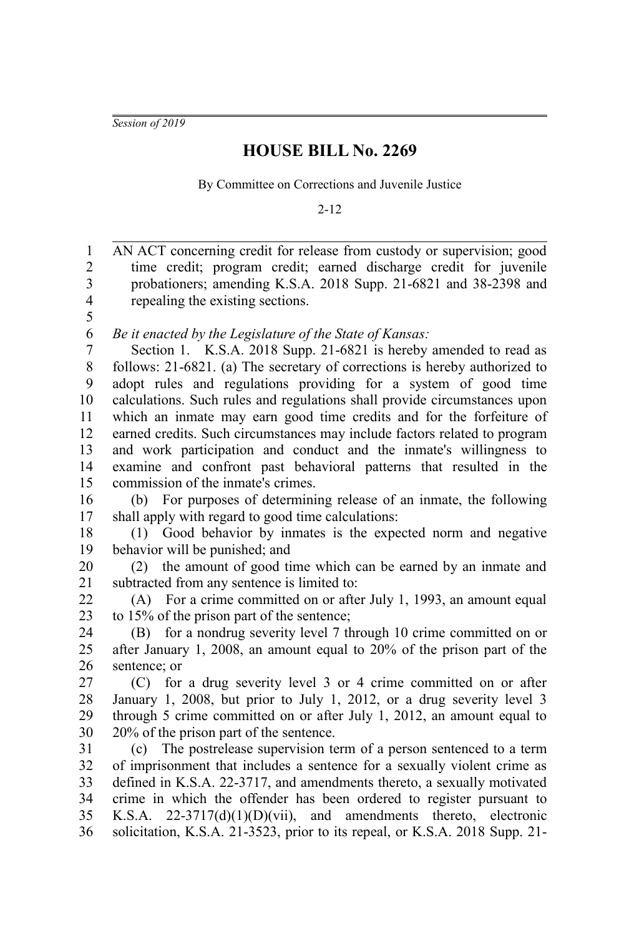*Session of 2019*

## **HOUSE BILL No. 2269**

By Committee on Corrections and Juvenile Justice

2-12

| $\mathbf{1}$            | AN ACT concerning credit for release from custody or supervision; good      |
|-------------------------|-----------------------------------------------------------------------------|
| $\sqrt{2}$              | time credit; program credit; earned discharge credit for juvenile           |
| 3                       | probationers; amending K.S.A. 2018 Supp. 21-6821 and 38-2398 and            |
| $\overline{\mathbf{4}}$ | repealing the existing sections.                                            |
| 5                       |                                                                             |
| 6                       | Be it enacted by the Legislature of the State of Kansas:                    |
| $\boldsymbol{7}$        | Section 1. K.S.A. 2018 Supp. 21-6821 is hereby amended to read as           |
| $\,$ 8 $\,$             | follows: 21-6821. (a) The secretary of corrections is hereby authorized to  |
| 9                       | adopt rules and regulations providing for a system of good time             |
| 10                      | calculations. Such rules and regulations shall provide circumstances upon   |
| 11                      | which an inmate may earn good time credits and for the forfeiture of        |
| 12                      | earned credits. Such circumstances may include factors related to program   |
| 13                      | and work participation and conduct and the inmate's willingness to          |
| 14                      | examine and confront past behavioral patterns that resulted in the          |
| 15                      | commission of the inmate's crimes.                                          |
| 16                      | (b) For purposes of determining release of an inmate, the following         |
| 17                      | shall apply with regard to good time calculations:                          |
| 18                      | (1) Good behavior by inmates is the expected norm and negative              |
| 19                      | behavior will be punished; and                                              |
| 20                      | (2) the amount of good time which can be earned by an inmate and            |
| 21                      | subtracted from any sentence is limited to:                                 |
| 22                      | (A) For a crime committed on or after July 1, 1993, an amount equal         |
| 23                      | to 15% of the prison part of the sentence;                                  |
| 24                      | (B) for a nondrug severity level 7 through 10 crime committed on or         |
| 25                      | after January 1, 2008, an amount equal to $20\%$ of the prison part of the  |
| 26                      | sentence; or                                                                |
| 27                      | for a drug severity level 3 or 4 crime committed on or after<br>(C)         |
| 28                      | January 1, 2008, but prior to July 1, 2012, or a drug severity level 3      |
| 29                      | through 5 crime committed on or after July 1, 2012, an amount equal to      |
| 30                      | 20% of the prison part of the sentence.                                     |
| 31                      | (c) The postrelease supervision term of a person sentenced to a term        |
| 32                      | of imprisonment that includes a sentence for a sexually violent crime as    |
| 33                      | defined in K.S.A. 22-3717, and amendments thereto, a sexually motivated     |
| 34                      | crime in which the offender has been ordered to register pursuant to        |
| 35                      | K.S.A. $22-3717(d)(1)(D)(vii)$ , and amendments thereto, electronic         |
| 36                      | solicitation, K.S.A. 21-3523, prior to its repeal, or K.S.A. 2018 Supp. 21- |
|                         |                                                                             |
|                         |                                                                             |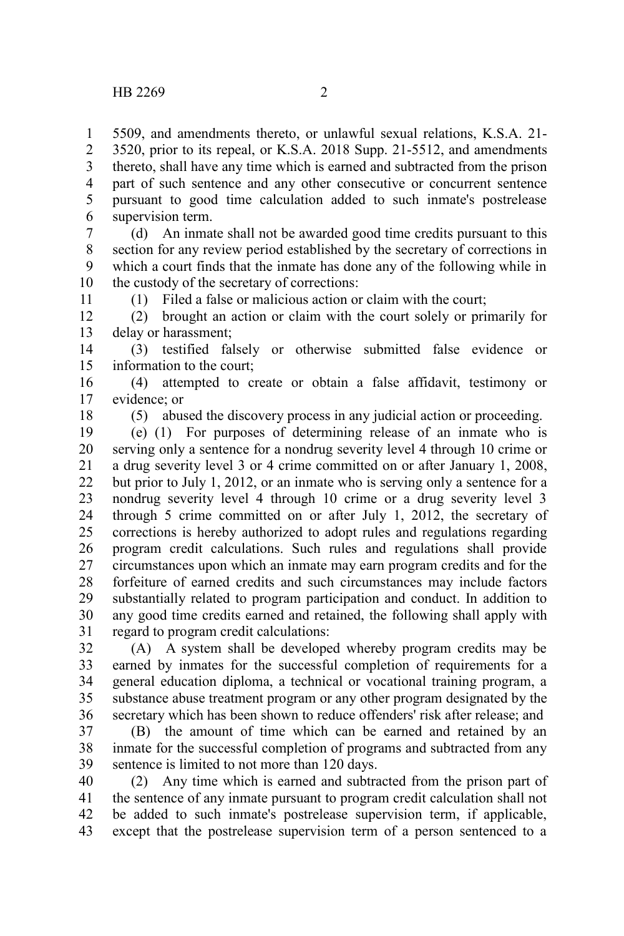5509, and amendments thereto, or unlawful sexual relations, K.S.A. 21- 3520, prior to its repeal, or K.S.A. 2018 Supp. 21-5512, and amendments thereto, shall have any time which is earned and subtracted from the prison part of such sentence and any other consecutive or concurrent sentence pursuant to good time calculation added to such inmate's postrelease supervision term. 1 2 3 4 5 6

(d) An inmate shall not be awarded good time credits pursuant to this section for any review period established by the secretary of corrections in which a court finds that the inmate has done any of the following while in the custody of the secretary of corrections: 7 8 9 10

(1) Filed a false or malicious action or claim with the court;

(2) brought an action or claim with the court solely or primarily for delay or harassment; 12 13

(3) testified falsely or otherwise submitted false evidence or information to the court; 14 15

(4) attempted to create or obtain a false affidavit, testimony or evidence; or 16 17

18

11

(5) abused the discovery process in any judicial action or proceeding.

(e) (1) For purposes of determining release of an inmate who is serving only a sentence for a nondrug severity level 4 through 10 crime or a drug severity level 3 or 4 crime committed on or after January 1, 2008, but prior to July 1, 2012, or an inmate who is serving only a sentence for a nondrug severity level 4 through 10 crime or a drug severity level 3 through 5 crime committed on or after July 1, 2012, the secretary of corrections is hereby authorized to adopt rules and regulations regarding program credit calculations. Such rules and regulations shall provide circumstances upon which an inmate may earn program credits and for the forfeiture of earned credits and such circumstances may include factors substantially related to program participation and conduct. In addition to any good time credits earned and retained, the following shall apply with regard to program credit calculations: 19 20 21 22 23 24 25 26 27 28 29 30 31

(A) A system shall be developed whereby program credits may be earned by inmates for the successful completion of requirements for a general education diploma, a technical or vocational training program, a substance abuse treatment program or any other program designated by the secretary which has been shown to reduce offenders' risk after release; and 32 33 34 35 36

(B) the amount of time which can be earned and retained by an inmate for the successful completion of programs and subtracted from any sentence is limited to not more than 120 days. 37 38 39

(2) Any time which is earned and subtracted from the prison part of the sentence of any inmate pursuant to program credit calculation shall not be added to such inmate's postrelease supervision term, if applicable, except that the postrelease supervision term of a person sentenced to a 40 41 42 43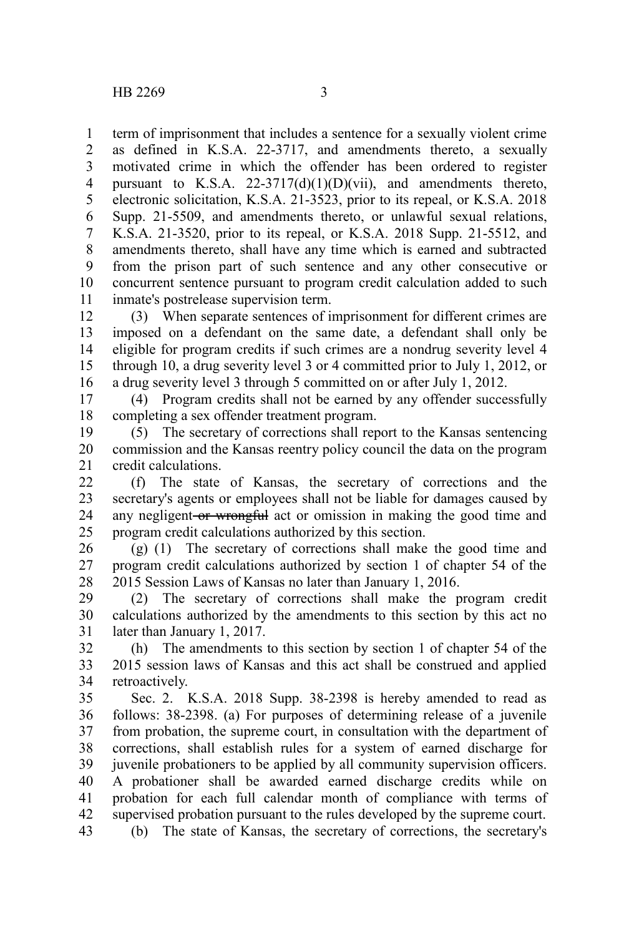term of imprisonment that includes a sentence for a sexually violent crime as defined in K.S.A. 22-3717, and amendments thereto, a sexually motivated crime in which the offender has been ordered to register pursuant to K.S.A.  $22-3717(d)(1)(D)(vii)$ , and amendments thereto, electronic solicitation, K.S.A. 21-3523, prior to its repeal, or K.S.A. 2018 Supp. 21-5509, and amendments thereto, or unlawful sexual relations, K.S.A. 21-3520, prior to its repeal, or K.S.A. 2018 Supp. 21-5512, and amendments thereto, shall have any time which is earned and subtracted from the prison part of such sentence and any other consecutive or concurrent sentence pursuant to program credit calculation added to such inmate's postrelease supervision term. 1 2 3 4 5 6 7 8 9 10 11

(3) When separate sentences of imprisonment for different crimes are imposed on a defendant on the same date, a defendant shall only be eligible for program credits if such crimes are a nondrug severity level 4 through 10, a drug severity level 3 or 4 committed prior to July 1, 2012, or a drug severity level 3 through 5 committed on or after July 1, 2012. 12 13 14 15 16

(4) Program credits shall not be earned by any offender successfully completing a sex offender treatment program. 17 18

(5) The secretary of corrections shall report to the Kansas sentencing commission and the Kansas reentry policy council the data on the program credit calculations. 19 20 21

(f) The state of Kansas, the secretary of corrections and the secretary's agents or employees shall not be liable for damages caused by any negligent-or wrongful act or omission in making the good time and program credit calculations authorized by this section. 22 23 24 25

(g) (1) The secretary of corrections shall make the good time and program credit calculations authorized by section 1 of chapter 54 of the 2015 Session Laws of Kansas no later than January 1, 2016. 26 27 28

(2) The secretary of corrections shall make the program credit calculations authorized by the amendments to this section by this act no later than January 1, 2017. 29 30 31

(h) The amendments to this section by section 1 of chapter 54 of the 2015 session laws of Kansas and this act shall be construed and applied retroactively. 32 33 34

Sec. 2. K.S.A. 2018 Supp. 38-2398 is hereby amended to read as follows: 38-2398. (a) For purposes of determining release of a juvenile from probation, the supreme court, in consultation with the department of corrections, shall establish rules for a system of earned discharge for juvenile probationers to be applied by all community supervision officers. A probationer shall be awarded earned discharge credits while on probation for each full calendar month of compliance with terms of supervised probation pursuant to the rules developed by the supreme court. 35 36 37 38 39 40 41 42

(b) The state of Kansas, the secretary of corrections, the secretary's 43